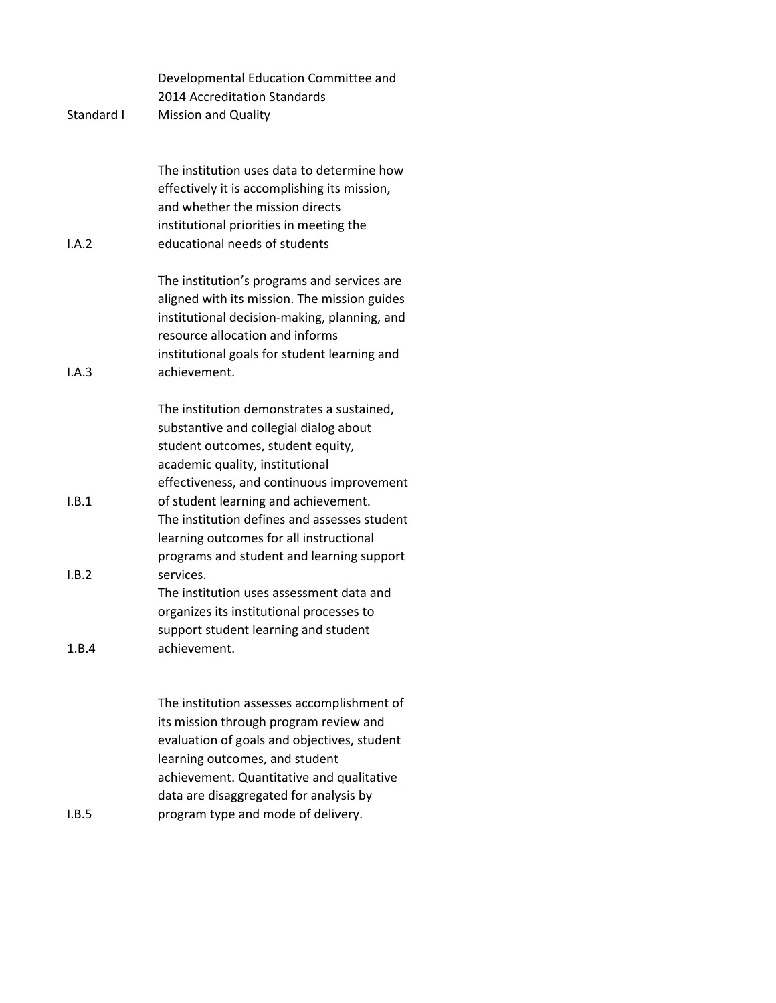|            | Developmental Education Committee and<br>2014 Accreditation Standards                                                                                                                                                                                        |
|------------|--------------------------------------------------------------------------------------------------------------------------------------------------------------------------------------------------------------------------------------------------------------|
| Standard I | <b>Mission and Quality</b>                                                                                                                                                                                                                                   |
| I.A.2      | The institution uses data to determine how<br>effectively it is accomplishing its mission,<br>and whether the mission directs<br>institutional priorities in meeting the<br>educational needs of students                                                    |
| I.A.3      | The institution's programs and services are<br>aligned with its mission. The mission guides<br>institutional decision-making, planning, and<br>resource allocation and informs<br>institutional goals for student learning and<br>achievement.               |
|            | The institution demonstrates a sustained,<br>substantive and collegial dialog about<br>student outcomes, student equity,<br>academic quality, institutional<br>effectiveness, and continuous improvement                                                     |
| I.B.1      | of student learning and achievement.<br>The institution defines and assesses student<br>learning outcomes for all instructional<br>programs and student and learning support                                                                                 |
| I.B.2      | services.<br>The institution uses assessment data and<br>organizes its institutional processes to<br>support student learning and student                                                                                                                    |
| 1.B.4      | achievement.                                                                                                                                                                                                                                                 |
|            | The institution assesses accomplishment of<br>its mission through program review and<br>evaluation of goals and objectives, student<br>learning outcomes, and student<br>achievement. Quantitative and qualitative<br>data are disaggregated for analysis by |

I.B.5 program type and mode of delivery.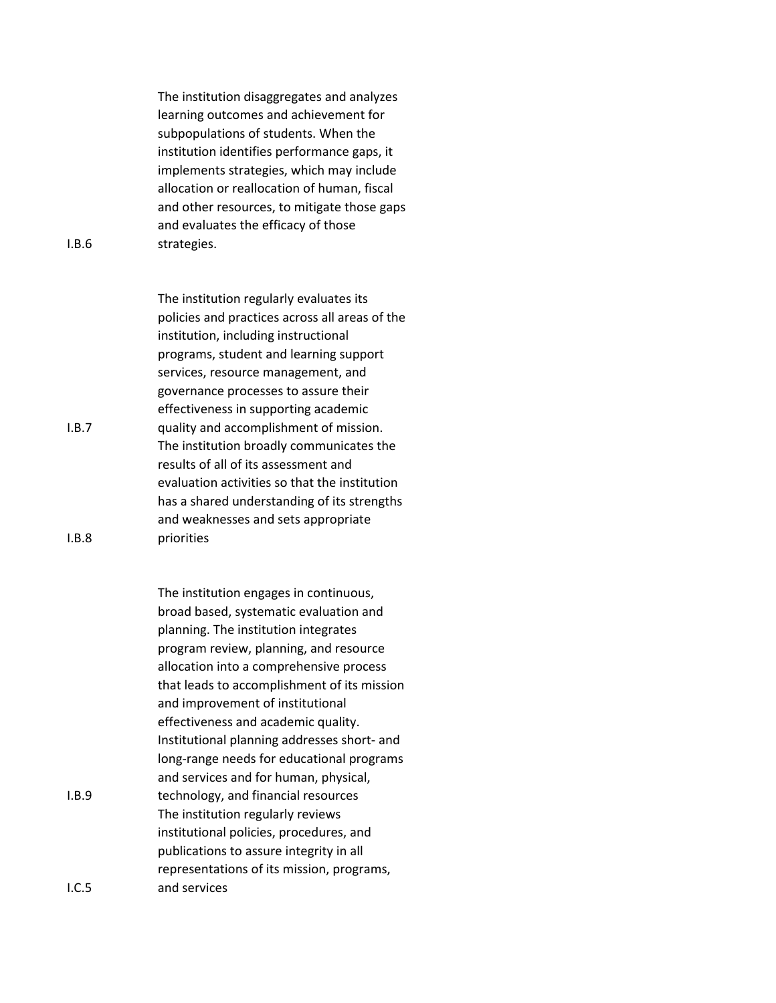The institution disaggregates and analyzes learning outcomes and achievement for subpopulations of students. When the institution identifies performance gaps, it implements strategies, which may include allocation or reallocation of human, fiscal and other resources, to mitigate those gaps and evaluates the efficacy of those strategies.

The institution regularly evaluates its policies and practices across all areas of the institution, including instructional programs, student and learning support services, resource management, and governance processes to assure their effectiveness in supporting academic quality and accomplishment of mission. The institution broadly communicates the results of all of its assessment and evaluation activities so that the institution has a shared understanding of its strengths and weaknesses and sets appropriate priorities

The institution engages in continuous, broad based, systematic evaluation and planning. The institution integrates program review, planning, and resource allocation into a comprehensive process that leads to accomplishment of its mission and improvement of institutional effectiveness and academic quality. Institutional planning addresses short- and long-range needs for educational programs and services and for human, physical, technology, and financial resources The institution regularly reviews institutional policies, procedures, and publications to assure integrity in all representations of its mission, programs, and services

I.B.6

I.B.8

I.B.7

I.B.9

I.C.5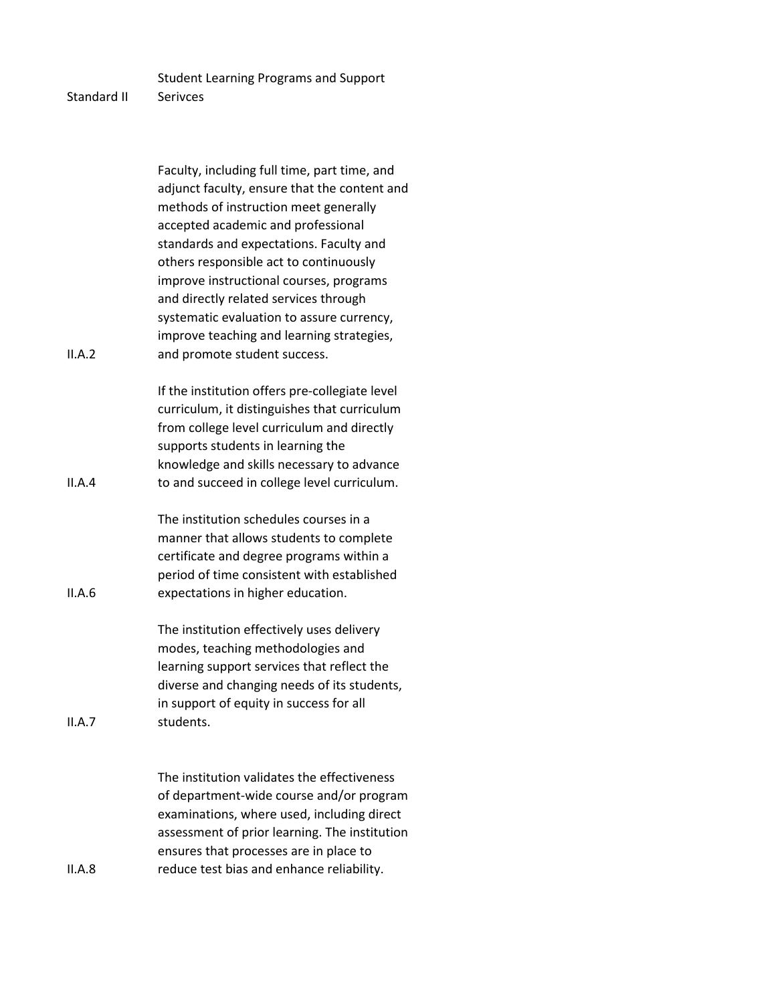Student Learning Programs and Support

## Standard II Serivces

II.A.2 Faculty, including full time, part time, and adjunct faculty, ensure that the content and methods of instruction meet generally accepted academic and professional standards and expectations. Faculty and others responsible act to continuously improve instructional courses, programs and directly related services through systematic evaluation to assure currency, improve teaching and learning strategies, and promote student success. II.A.4 If the institution offers pre-collegiate level curriculum, it distinguishes that curriculum from college level curriculum and directly supports students in learning the knowledge and skills necessary to advance to and succeed in college level curriculum. II.A.6 The institution schedules courses in a manner that allows students to complete certificate and degree programs within a period of time consistent with established expectations in higher education. II.A.7 The institution effectively uses delivery modes, teaching methodologies and learning support services that reflect the diverse and changing needs of its students, in support of equity in success for all students. II.A.8 The institution validates the effectiveness of department-wide course and/or program examinations, where used, including direct assessment of prior learning. The institution ensures that processes are in place to reduce test bias and enhance reliability.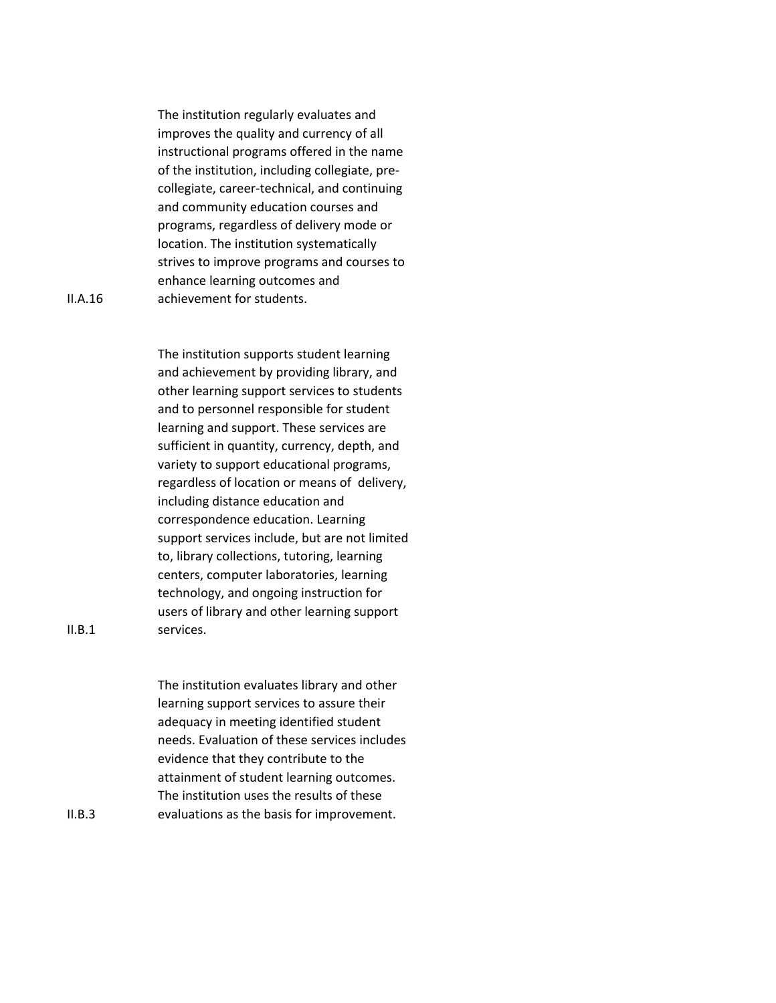The institution regularly evaluates and improves the quality and currency of all instructional programs offered in the name of the institution, including collegiate, precollegiate, career-technical, and continuing and community education courses and programs, regardless of delivery mode or location. The institution systematically strives to improve programs and courses to enhance learning outcomes and achievement for students.

II.A.16

The institution supports student learning and achievement by providing library, and other learning support services to students and to personnel responsible for student learning and support. These services are sufficient in quantity, currency, depth, and variety to support educational programs, regardless of location or means of delivery, including distance education and correspondence education. Learning support services include, but are not limited to, library collections, tutoring, learning centers, computer laboratories, learning technology, and ongoing instruction for users of library and other learning support services.

The institution evaluates library and other learning support services to assure their adequacy in meeting identified student needs. Evaluation of these services includes evidence that they contribute to the attainment of student learning outcomes. The institution uses the results of these evaluations as the basis for improvement.

 $II.B.1$ 

II.B.3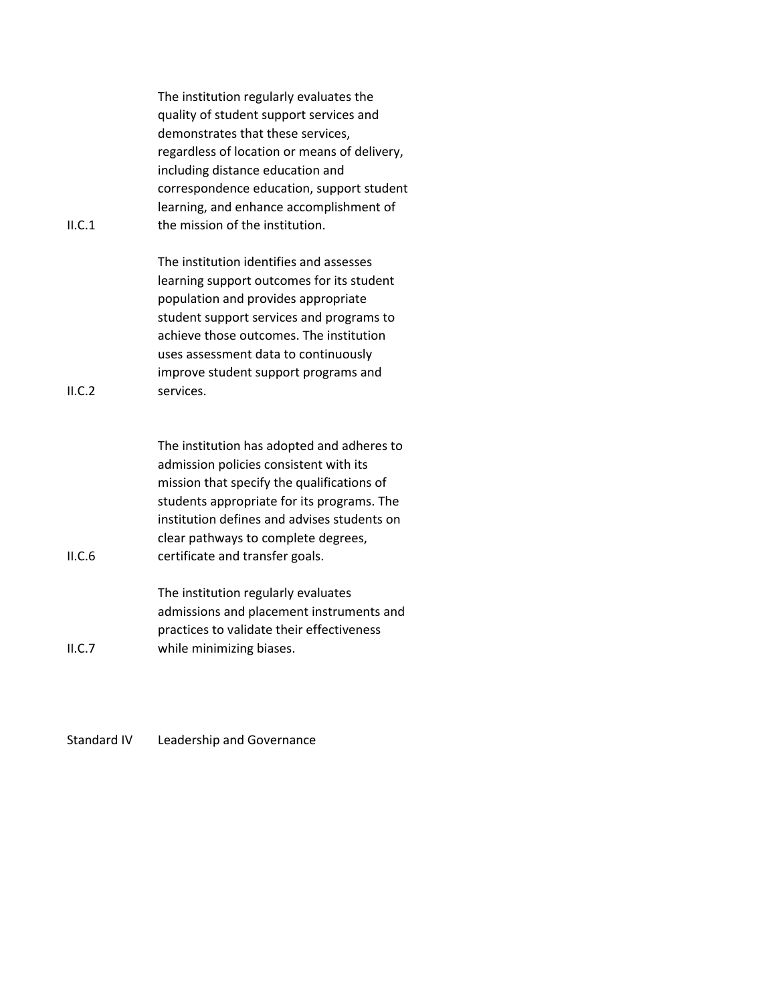| II.C.1 | The institution regularly evaluates the<br>quality of student support services and<br>demonstrates that these services,<br>regardless of location or means of delivery,<br>including distance education and<br>correspondence education, support student<br>learning, and enhance accomplishment of<br>the mission of the institution. |
|--------|----------------------------------------------------------------------------------------------------------------------------------------------------------------------------------------------------------------------------------------------------------------------------------------------------------------------------------------|
| ILC.2  | The institution identifies and assesses<br>learning support outcomes for its student<br>population and provides appropriate<br>student support services and programs to<br>achieve those outcomes. The institution<br>uses assessment data to continuously<br>improve student support programs and<br>services.                        |
| II.C.6 | The institution has adopted and adheres to<br>admission policies consistent with its<br>mission that specify the qualifications of<br>students appropriate for its programs. The<br>institution defines and advises students on<br>clear pathways to complete degrees,<br>certificate and transfer goals.                              |
| ILC.7  | The institution regularly evaluates<br>admissions and placement instruments and<br>practices to validate their effectiveness<br>while minimizing biases.                                                                                                                                                                               |

Standard IV Leadership and Governance